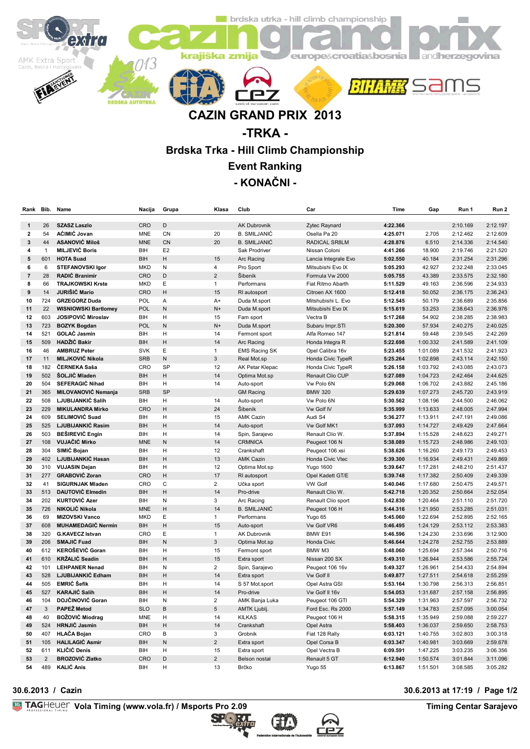

# **CAZIN GRAND PRIX 2013**

## **-TRKA - Brdska Trka - Hill Climb Championship**

**Event Ranking**

### **- KONAČNI -**

| Rank                    | Bib.           | Name                        | Nacija     | Grupa          | Klasa                | Club                 | Car                  | Time     | Gap      | Run 1    | Run 2    |
|-------------------------|----------------|-----------------------------|------------|----------------|----------------------|----------------------|----------------------|----------|----------|----------|----------|
|                         |                |                             |            |                |                      |                      |                      |          |          |          |          |
| 1                       | 26             | <b>SZASZ Laszlo</b>         | CRO        | D              |                      | <b>AK Dubrovnik</b>  | Zytec Raynard        | 4:22.366 |          | 2:10.169 | 2:12.197 |
| 2                       | 54             | AĆIMIĆ Jovan                | MNE        | CN             | 20                   | <b>B. SMILJANIĆ</b>  | Osella Pa 20         | 4:25.071 | 2.705    | 2:12.462 | 2:12.609 |
| 3                       | 44             | <b>ASANOVIĆ Miloš</b>       | <b>MNE</b> | CN             | 20                   | <b>B. SMILJANIĆ</b>  | RADICAL SR8LM        | 4:28.876 | 6.510    | 2:14.336 | 2:14.540 |
| 4                       | $\mathbf{1}$   | <b>MILJEVIĆ Boris</b>       | BIH        | E <sub>2</sub> |                      | Sak Prodriver        | Nissan Coloni        | 4:41.266 | 18.900   | 2:19.746 | 2:21.520 |
| 5                       | 601            | <b>HOTA Suad</b>            | <b>BIH</b> | Η              | 15                   | Arc Racing           | Lancia Integrale Evo | 5:02.550 | 40.184   | 2:31.254 | 2:31.296 |
| 6                       | 6              | <b>STEFANOVSKI Igor</b>     | <b>MKD</b> | N              | 4                    | Pro Sport            | Mitsubishi Evo IX    | 5:05.293 | 42.927   | 2:32.248 | 2:33.045 |
| $\overline{\mathbf{r}}$ | 28             | RADIĆ Branimir              | CRO        | D              | $\overline{2}$       | Šibenik              | Formula Vw 2000      | 5:05.755 | 43.389   | 2:33.575 | 2:32.180 |
| 8                       | 66             | <b>TRAJKOWSKI Krste</b>     | <b>MKD</b> | E              | $\mathbf{1}$         | Performans           | Fiat Ritmo Abarth    | 5:11.529 | 49.163   | 2:36.596 | 2:34.933 |
| 9                       | 14             | <b>JURIŠIĆ Mario</b>        | CRO        | Η              | 15                   | RI autosport         | Citroen AX 1600      | 5:12.418 | 50.052   | 2:36.175 | 2:36.243 |
| 10                      | 724            | <b>GRZEGORZ Duda</b>        | POL        | A              | $A+$                 | Duda M.sport         | Mitshubishi L. Evo   | 5:12.545 | 50.179   | 2:36.689 | 2:35.856 |
| 11                      | 22             | <b>WISNIOWSKI Bartlomey</b> | POL        | N              | $N+$                 | Duda M.sport         | Mitsubishi Evo IX    | 5:15.619 | 53.253   | 2:38.643 | 2:36.976 |
| 12                      | 603            | JOSIPOVIĆ Miroslav          | BIH        | н              | 15                   | Fam sport            | Vectra B             | 5:17.268 | 54.902   | 2:38.285 | 2:38.983 |
| 13                      | 723            | <b>BOZYK Bogdan</b>         | POL        | N              | $N+$                 | Duda M.sport         | Subaru Impr.STI      | 5:20.300 | 57.934   | 2:40.275 | 2:40.025 |
| 14                      | 521            | <b>GOLAĆ Jasmin</b>         | BIH        | н              | 14                   | Fermont sport        | Alfa Romeo 147       | 5:21.814 | 59.448   | 2:39.545 | 2:42.269 |
| 15                      | 509            | <b>HADŽIĆ Bakir</b>         | <b>BIH</b> | Н              | 14                   | Arc Racing           | Honda Integra R      | 5:22.698 | 1:00.332 | 2:41.589 | 2:41.109 |
| 16                      | 46             | <b>AMBRUZ Peter</b>         | <b>SVK</b> | Ε              | $\mathbf{1}$         | <b>EMS Racing SK</b> | Opel Calibra 16v     | 5:23.455 | 1:01.089 | 2:41.532 | 2:41.923 |
| 17                      | 11             | <b>MILJKOVIĆ Nikola</b>     | <b>SRB</b> | N              | 3                    | Real Mot.sp          | Honda Civic TypeR    | 5:25.264 | 1:02.898 | 2:43.114 | 2:42.150 |
| 18                      | 182            | ČERNEKA Saša                | CRO        | SP             | 12                   | AK Petar Klepac      | Honda Civic TypeR    | 5:26.158 | 1:03.792 | 2:43.085 | 2:43.073 |
| 19                      | 502            | ŠOLJIĆ Mladen               | <b>BIH</b> | Η              | 14                   | Optima Mot.sp        | Renault Clio CUP     | 5:27.089 | 1:04.723 | 2:42.464 | 2:44.625 |
| 20                      | 504            | <b>SEFERAGIĆ Nihad</b>      | BIH        | н              | 14                   | Auto-sport           | Vw Polo 6N           | 5:29.068 | 1:06.702 | 2:43.882 | 2:45.186 |
| 21                      | 365            | MILOVANOVIĆ Nemanja         | <b>SRB</b> | SP             |                      | <b>GM Racing</b>     | <b>BMW 320</b>       | 5:29.639 | 1:07.273 | 2:45.720 | 2:43.919 |
| 22                      | 508            | LJUBIJANKIĆ Salih           | BIH        | Η              | 14                   | Auto-sport           | Vw Polo 6N           | 5:30.562 | 1:08.196 | 2:44.500 | 2:46.062 |
| 23                      | 229            | <b>MIKULANDRA Mirko</b>     | CRO        | H              | 24                   | Šibenik              | Vw Golf IV           | 5:35.999 | 1:13.633 | 2:48.005 | 2:47.994 |
| 24                      | 609            | SELIMOVIĆ Suad              | BIH        | Н              | 15                   | <b>AMK Cazin</b>     | Audi S4              | 5:36.277 | 1:13.911 | 2:47.191 | 2:49.086 |
| 25                      | 525            | LJUBIJANKIĆ Rasim           | <b>BIH</b> | H              | 14                   | Auto-sport           | Vw Golf MK1          | 5:37.093 | 1:14.727 | 2:49.429 | 2:47.664 |
|                         |                |                             |            |                |                      |                      |                      |          |          |          |          |
| 26                      | 503            | <b>BESIREVIĆ Engin</b>      | BIH        | н              | 14                   | Spin, Sarajevo       | Renault Clio W.      | 5:37.894 | 1:15.528 | 2:48.623 | 2:49.271 |
| 27                      | 108            | <b>VUJAČIĆ Mirko</b>        | <b>MNE</b> | N              | 14                   | <b>CRMNICA</b>       | Peugeot 106 N        | 5:38.089 | 1:15.723 | 2:48.986 | 2:49.103 |
| 28                      | 304            | SIMIĆ Bojan                 | BIH        | н              | 12                   | Crankshaft           | Peugeot 106 xsi      | 5:38.626 | 1:16.260 | 2:49.173 | 2:49.453 |
| 29                      | 402            | LJUBIJANKIĆ Hasan           | <b>BIH</b> | H              | 13                   | <b>AMK Cazin</b>     | Honda Civic Vtec     | 5:39.300 | 1:16.934 | 2:49.431 | 2:49.869 |
| 30                      | 310            | <b>VUJASIN Dejan</b>        | BIH        | Н              | 12                   | Optima Mot.sp        | <b>Yugo 1600</b>     | 5:39.647 | 1:17.281 | 2:48.210 | 2:51.437 |
| 31                      | 277            | <b>GRABOVIĆ Zoran</b>       | CRO        | H              | 17                   | RI autosport         | Opel Kadett GT/E     | 5:39.748 | 1:17.382 | 2:50.409 | 2:49.339 |
| 32                      | 41             | SIGURNJAK Mladen            | CRO        | C              | $\overline{2}$       | Učka sport           | <b>VW Golf</b>       | 5:40.046 | 1:17.680 | 2:50.475 | 2:49.571 |
| 33                      | 513            | <b>DAUTOVIĆ Elmedin</b>     | <b>BIH</b> | Н              | 14                   | Pro-drive            | Renault Clio W.      | 5:42.718 | 1:20.352 | 2:50.664 | 2:52.054 |
| 34                      | 202            | <b>KURTOVIĆ Azer</b>        | BIH        | N              | 3                    | Arc Racing           | Renault Clio sport   | 5:42.830 | 1:20.464 | 2:51.110 | 2:51.720 |
| 35                      | 726            | NIKOLIĆ Nikola              | <b>MNE</b> | Η              | 14                   | <b>B. SMILJANIĆ</b>  | Peugeot 106 H        | 5:44.316 | 1:21.950 | 2:53.285 | 2:51.031 |
| 36                      | 69             | <b>MIZOVSKI Vanco</b>       | <b>MKD</b> | E              | $\mathbf{1}$         | Performans           | Yugo 65              | 5:45.060 | 1:22.694 | 2:52.895 | 2:52.165 |
| 37                      | 608            | <b>MUHAMEDAGIĆ Nermin</b>   | BIH        | Η              | 15                   | Auto-sport           | Vw Golf VR6          | 5:46.495 | 1:24.129 | 2:53.112 | 2:53.383 |
| 38                      | 320            | <b>G.KAVECZ Istvan</b>      | CRO        | E              | $\mathbf{1}$         | AK Dubrovnik         | BMW E91              | 5:46.596 | 1:24.230 | 2:33.696 | 3:12.900 |
| 39                      | 206            | SMAJIĆ Fuad                 | <b>BIH</b> | N              | 3                    | Optima Mot.sp        | Honda Civic          | 5:46.644 | 1:24.278 | 2:52.755 | 2:53.889 |
| 40                      | 612            | <b>KEROŠEVIĆ Goran</b>      | BIH        | H              | 15                   | Fermont sport        | BMW M3               | 5:48.060 | 1:25.694 | 2:57.344 | 2:50.716 |
| 41                      | 610            | <b>KRŽALIĆ Seadin</b>       | <b>BIH</b> | H              | 15                   | Extra sport          | Nissan 200 SX        | 5:49.310 | 1:26.944 | 2:53.586 | 2:55.724 |
| 42                      | 101            | <b>LEHPANER Nenad</b>       | BIH        | Ν              | $\mathbf 2$          | Spin, Sarajevo       | Peugeot 106 16v      | 5:49.327 | 1:26.961 | 2:54.433 | 2:54.894 |
| 43                      | 528            | LJUBIJANKIĆ Edham           | <b>BIH</b> | Η              | 14                   | Extra sport          | Vw Golf II           | 5:49.877 | 1:27.511 | 2:54.618 | 2:55.259 |
| 44                      | 505            | <b>EMRIĆ Šefik</b>          | BIH        | Η              | 14                   | S 57 Mot.sport       | Opel Astra GSI       | 5:53.164 | 1:30.798 | 2:56.313 | 2:56.851 |
| 45                      | 527            | <b>KARAJIĆ Salih</b>        | <b>BIH</b> | Η              | 14                   | Pro-drive            | Vw Golf II 16v       | 5:54.053 | 1:31.687 | 2:57.158 | 2:56.895 |
| 46                      | 104            | DOJČINOVIĆ Goran            | BIH        | N              | $\overline{2}$       | AMK Banja Luka       | Peugeot 106 GTI      | 5:54.329 | 1:31.963 | 2:57.597 | 2:56.732 |
| 47                      | 3              | <b>PAPEŽ Metod</b>          | <b>SLO</b> | B              | 5                    | AMTK Ljublj.         | Ford Esc. Rs 2000    | 5:57.149 | 1:34.783 | 2:57.095 | 3:00.054 |
| 48                      | 40             | <b>BOŽOVIĆ Miodrag</b>      | <b>MNE</b> | н              | 14                   | <b>KILKAS</b>        | Peugeot 106 H        | 5:58.315 | 1:35.949 | 2:59.088 | 2:59.227 |
| 49                      | 524            | <b>HRNJIĆ Jasmin</b>        | BIH        | H              | 14                   | Crankshaft           | Opel Astra           | 5:58.403 | 1:36.037 | 2:59.650 | 2:58.753 |
| 50                      | 407            | <b>HLAČA Bojan</b>          | CRO        | B              | 3                    | Grobnik              | Fiat 128 Rally       | 6:03.121 | 1:40.755 | 3:02.803 | 3:00.318 |
|                         | 105            | <b>HALILAGIĆ Asmir</b>      |            | N              | $\overline{2}$       |                      |                      |          |          |          |          |
| 51                      | 611            | <b>KLIČIĆ Denis</b>         | BIH        |                |                      | Extra sport          | Opel Corsa B         | 6:03.347 | 1:40.981 | 3:03.669 | 2:59.678 |
| 52                      |                |                             | BIH        | Η              | 15<br>$\overline{2}$ | Extra sport          | Opel Vectra B        | 6:09.591 | 1:47.225 | 3:03.235 | 3:06.356 |
| 53                      | $\overline{2}$ | <b>BROZOVIĆ Zlatko</b>      | CRO        | D              |                      | Belson nostal        | Renault 5 GT         | 6:12.940 | 1:50.574 | 3:01.844 | 3:11.096 |
| 54                      | 489            | <b>KALIĆ Anis</b>           | BIH        | H              | 13                   | Brčko                | Yugo 55              | 6:13.867 | 1:51.501 | 3:08.585 | 3:05.282 |

**Vola Timing (www.vola.fr) / Msports Pro 2.09 TAGHELLER CONSTRANTIES** Timing Centar Sarajevo





### **30.6.2013 / Cazin 30.6.2013 at 17:19 / Page 1/2**